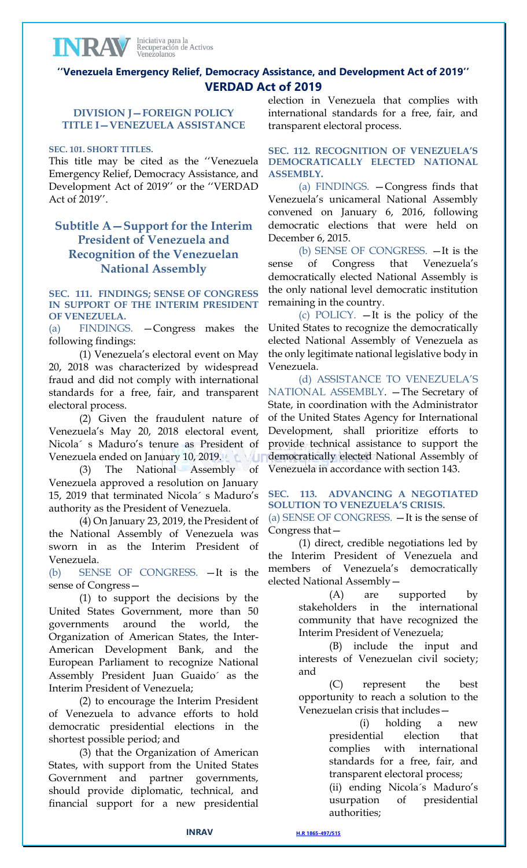# **''Venezuela Emergency Relief, Democracy Assistance, and Development Act of 2019'' VERDAD Act of 2019**

## **DIVISION J—FOREIGN POLICY TITLE I—VENEZUELA ASSISTANCE**

### **SEC. 101. SHORT TITLES.**

INRAV

This title may be cited as the ''Venezuela Emergency Relief, Democracy Assistance, and Development Act of 2019'' or the ''VERDAD Act of 2019''.

# **Subtitle A—Support for the Interim President of Venezuela and Recognition of the Venezuelan National Assembly**

**SEC. 111. FINDINGS; SENSE OF CONGRESS IN SUPPORT OF THE INTERIM PRESIDENT OF VENEZUELA.**

(a) FINDINGS. —Congress makes the following findings:

(1) Venezuela's electoral event on May 20, 2018 was characterized by widespread fraud and did not comply with international standards for a free, fair, and transparent electoral process.

(2) Given the fraudulent nature of Venezuela's May 20, 2018 electoral event, Nicola´ s Maduro's tenure as President of Venezuela ended on January 10, 2019. CVU

(3) The National Assembly of Venezuela approved a resolution on January 15, 2019 that terminated Nicola´ s Maduro's authority as the President of Venezuela.

(4) On January 23, 2019, the President of the National Assembly of Venezuela was sworn in as the Interim President of Venezuela.

(b) SENSE OF CONGRESS. —It is the sense of Congress—

(1) to support the decisions by the United States Government, more than 50 governments around the world, the Organization of American States, the Inter-American Development Bank, and the European Parliament to recognize National Assembly President Juan Guaido´ as the Interim President of Venezuela;

(2) to encourage the Interim President of Venezuela to advance efforts to hold democratic presidential elections in the shortest possible period; and

(3) that the Organization of American States, with support from the United States Government and partner governments, should provide diplomatic, technical, and financial support for a new presidential

election in Venezuela that complies with international standards for a free, fair, and transparent electoral process.

**SEC. 112. RECOGNITION OF VENEZUELA'S DEMOCRATICALLY ELECTED NATIONAL ASSEMBLY.**

(a) FINDINGS. —Congress finds that Venezuela's unicameral National Assembly convened on January 6, 2016, following democratic elections that were held on December 6, 2015.

(b) SENSE OF CONGRESS. —It is the sense of Congress that Venezuela's democratically elected National Assembly is the only national level democratic institution remaining in the country.

(c) POLICY. —It is the policy of the United States to recognize the democratically elected National Assembly of Venezuela as the only legitimate national legislative body in Venezuela.

(d) ASSISTANCE TO VENEZUELA'S NATIONAL ASSEMBLY. —The Secretary of State, in coordination with the Administrator of the United States Agency for International Development, shall prioritize efforts to provide technical assistance to support the democratically elected National Assembly of Venezuela in accordance with section 143.

**SEC. 113. ADVANCING A NEGOTIATED SOLUTION TO VENEZUELA'S CRISIS.** (a) SENSE OF CONGRESS. —It is the sense of Congress that—

(1) direct, credible negotiations led by the Interim President of Venezuela and members of Venezuela's democratically elected National Assembly—

> (A) are supported by stakeholders in the international community that have recognized the Interim President of Venezuela;

> (B) include the input and interests of Venezuelan civil society; and

> (C) represent the best opportunity to reach a solution to the Venezuelan crisis that includes—

> > (i) holding a new presidential election that complies with international standards for a free, fair, and transparent electoral process;

(ii) ending Nicola´s Maduro's usurpation of presidential authorities;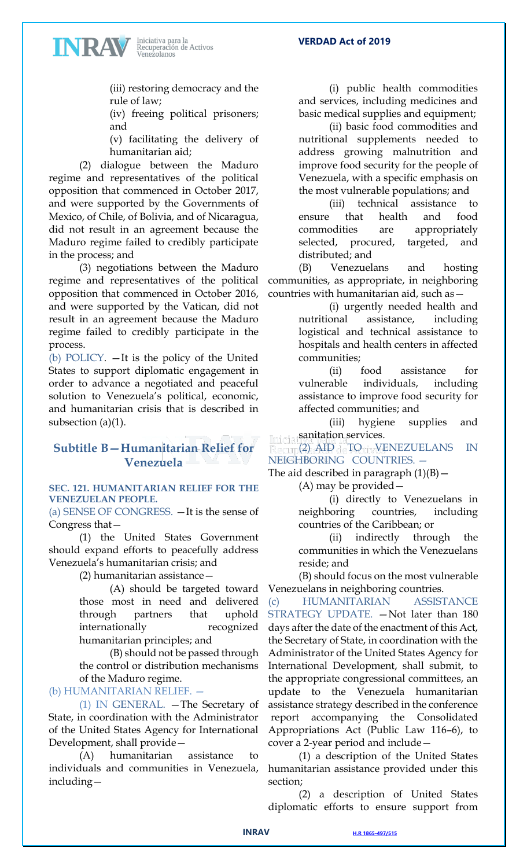INRAV

**VERDAD Act of 2019**

(iii) restoring democracy and the rule of law;

(iv) freeing political prisoners; and

(v) facilitating the delivery of humanitarian aid;

(2) dialogue between the Maduro regime and representatives of the political opposition that commenced in October 2017, and were supported by the Governments of Mexico, of Chile, of Bolivia, and of Nicaragua, did not result in an agreement because the Maduro regime failed to credibly participate in the process; and

(3) negotiations between the Maduro regime and representatives of the political opposition that commenced in October 2016, and were supported by the Vatican, did not result in an agreement because the Maduro regime failed to credibly participate in the process.

(b) POLICY. —It is the policy of the United States to support diplomatic engagement in order to advance a negotiated and peaceful solution to Venezuela's political, economic, and humanitarian crisis that is described in subsection (a)(1).

# **Subtitle B—Humanitarian Relief for Venezuela**

### **SEC. 121. HUMANITARIAN RELIEF FOR THE VENEZUELAN PEOPLE.**

(a) SENSE OF CONGRESS. —It is the sense of Congress that—

(1) the United States Government should expand efforts to peacefully address Venezuela's humanitarian crisis; and

(2) humanitarian assistance—

(A) should be targeted toward those most in need and delivered through partners that uphold internationally recognized humanitarian principles; and

(B) should not be passed through the control or distribution mechanisms of the Maduro regime.

(b) HUMANITARIAN RELIEF. —

(1) IN GENERAL. —The Secretary of State, in coordination with the Administrator of the United States Agency for International Development, shall provide—

(A) humanitarian assistance to individuals and communities in Venezuela, including—

(i) public health commodities and services, including medicines and basic medical supplies and equipment;

(ii) basic food commodities and nutritional supplements needed to address growing malnutrition and improve food security for the people of Venezuela, with a specific emphasis on the most vulnerable populations; and

(iii) technical assistance to ensure that health and food commodities are appropriately selected, procured, targeted, and distributed; and

(B) Venezuelans and hosting communities, as appropriate, in neighboring countries with humanitarian aid, such as—

> (i) urgently needed health and nutritional assistance, including logistical and technical assistance to hospitals and health centers in affected communities;

> (ii) food assistance for vulnerable individuals, including assistance to improve food security for affected communities; and

(iii) hygiene supplies and sanitation services.

(2) AID TO VENEZUELANS IN NEIGHBORING COUNTRIES. —

The aid described in paragraph  $(1)(B)$  -

(A) may be provided—

(i) directly to Venezuelans in neighboring countries, including countries of the Caribbean; or

(ii) indirectly through the communities in which the Venezuelans reside; and

(B) should focus on the most vulnerable Venezuelans in neighboring countries.

(c) HUMANITARIAN ASSISTANCE STRATEGY UPDATE. - Not later than 180 days after the date of the enactment of this Act, the Secretary of State, in coordination with the Administrator of the United States Agency for International Development, shall submit, to the appropriate congressional committees, an update to the Venezuela humanitarian assistance strategy described in the conference report accompanying the Consolidated Appropriations Act (Public Law 116–6), to cover a 2-year period and include—

(1) a description of the United States humanitarian assistance provided under this section;

(2) a description of United States diplomatic efforts to ensure support from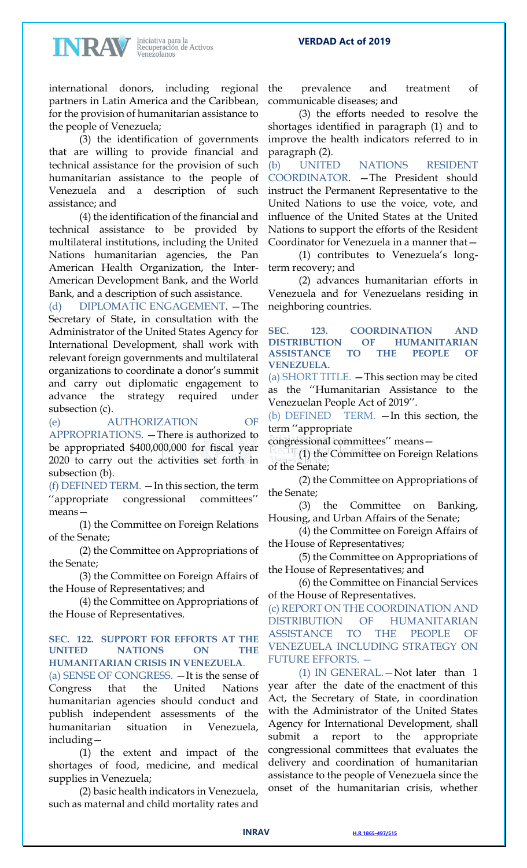### **VERDAD Act of 2019**



Iniciativa para la<br>Recuperación de Activos<br>Venezolanos

international donors, including regional partners in Latin America and the Caribbean, for the provision of humanitarian assistance to the people of Venezuela;

(3) the identification of governments that are willing to provide financial and technical assistance for the provision of such humanitarian assistance to the people of Venezuela and a description of such assistance; and

(4) the identification of the financial and technical assistance to be provided by multilateral institutions, including the United Nations humanitarian agencies, the Pan American Health Organization, the Inter-American Development Bank, and the World Bank, and a description of such assistance.

(d) DIPLOMATIC ENGAGEMENT. —The Secretary of State, in consultation with the Administrator of the United States Agency for International Development, shall work with relevant foreign governments and multilateral organizations to coordinate a donor's summit and carry out diplomatic engagement to advance the strategy required under subsection (c).

(e) AUTHORIZATION OF APPROPRIATIONS. —There is authorized to be appropriated \$400,000,000 for fiscal year 2020 to carry out the activities set forth in subsection (b).

(f) DEFINED TERM. —In this section, the term ''appropriate congressional committees'' means—

(1) the Committee on Foreign Relations of the Senate;

(2) the Committee on Appropriations of the Senate;

(3) the Committee on Foreign Affairs of the House of Representatives; and

(4) the Committee on Appropriations of the House of Representatives.

### **SEC. 122. SUPPORT FOR EFFORTS AT THE UNITED NATIONS ON THE HUMANITARIAN CRISIS IN VENEZUELA**.

(a) SENSE OF CONGRESS. —It is the sense of Congress that the United Nations humanitarian agencies should conduct and publish independent assessments of the humanitarian situation in Venezuela, including—

(1) the extent and impact of the shortages of food, medicine, and medical supplies in Venezuela;

(2) basic health indicators in Venezuela, such as maternal and child mortality rates and

the prevalence and treatment of communicable diseases; and

(3) the efforts needed to resolve the shortages identified in paragraph (1) and to improve the health indicators referred to in paragraph (2).

(b) UNITED NATIONS RESIDENT COORDINATOR. —The President should instruct the Permanent Representative to the United Nations to use the voice, vote, and influence of the United States at the United Nations to support the efforts of the Resident Coordinator for Venezuela in a manner that—

(1) contributes to Venezuela's longterm recovery; and

(2) advances humanitarian efforts in Venezuela and for Venezuelans residing in neighboring countries.

**SEC. 123. COORDINATION AND DISTRIBUTION OF HUMANITARIAN ASSISTANCE TO THE PEOPLE OF VENEZUELA.**

(a) SHORT TITLE. —This section may be cited as the ''Humanitarian Assistance to the Venezuelan People Act of 2019''.

(b) DEFINED TERM. —In this section, the term ''appropriate

congressional committees'' means—

(1) the Committee on Foreign Relations of the Senate;

(2) the Committee on Appropriations of the Senate;

(3) the Committee on Banking, Housing, and Urban Affairs of the Senate;

(4) the Committee on Foreign Affairs of the House of Representatives;

(5) the Committee on Appropriations of the House of Representatives; and

(6) the Committee on Financial Services of the House of Representatives.

(c) REPORT ON THE COORDINATION AND DISTRIBUTION OF HUMANITARIAN ASSISTANCE TO THE PEOPLE OF VENEZUELA INCLUDING STRATEGY ON FUTURE EFFORTS. —

(1) IN GENERAL.—Not later than 1 year after the date of the enactment of this Act, the Secretary of State, in coordination with the Administrator of the United States Agency for International Development, shall submit a report to the appropriate congressional committees that evaluates the delivery and coordination of humanitarian assistance to the people of Venezuela since the onset of the humanitarian crisis, whether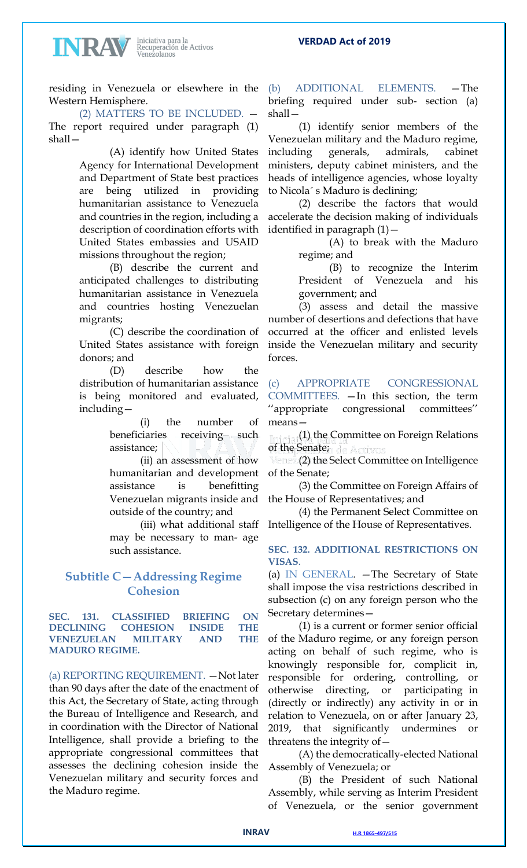#### **VERDAD Act of 2019**



Iniciativa para la<br>Recuperación de Activos<br>Venezolanos

residing in Venezuela or elsewhere in the Western Hemisphere.

(2) MATTERS TO BE INCLUDED. — The report required under paragraph (1) shall—

(A) identify how United States Agency for International Development and Department of State best practices are being utilized in providing humanitarian assistance to Venezuela and countries in the region, including a description of coordination efforts with United States embassies and USAID missions throughout the region;

(B) describe the current and anticipated challenges to distributing humanitarian assistance in Venezuela and countries hosting Venezuelan migrants;

(C) describe the coordination of United States assistance with foreign donors; and

(D) describe how the distribution of humanitarian assistance is being monitored and evaluated, including—

> (i) the number of beneficiaries receiving such assistance;

> (ii) an assessment of how humanitarian and development assistance is benefitting Venezuelan migrants inside and outside of the country; and

> (iii) what additional staff may be necessary to man- age such assistance.

# **Subtitle C—Addressing Regime Cohesion**

**SEC. 131. CLASSIFIED BRIEFING ON DECLINING COHESION INSIDE THE VENEZUELAN MILITARY AND THE MADURO REGIME.**

(a) REPORTING REQUIREMENT. —Not later than 90 days after the date of the enactment of this Act, the Secretary of State, acting through the Bureau of Intelligence and Research, and in coordination with the Director of National Intelligence, shall provide a briefing to the appropriate congressional committees that assesses the declining cohesion inside the Venezuelan military and security forces and the Maduro regime.

(b) ADDITIONAL ELEMENTS. —The briefing required under sub- section (a) shall—

(1) identify senior members of the Venezuelan military and the Maduro regime, including generals, admirals, cabinet ministers, deputy cabinet ministers, and the heads of intelligence agencies, whose loyalty to Nicola´ s Maduro is declining;

(2) describe the factors that would accelerate the decision making of individuals identified in paragraph (1)—

> (A) to break with the Maduro regime; and

> (B) to recognize the Interim President of Venezuela and his government; and

(3) assess and detail the massive number of desertions and defections that have occurred at the officer and enlisted levels inside the Venezuelan military and security forces.

(c) APPROPRIATE CONGRESSIONAL COMMITTEES. —In this section, the term ''appropriate congressional committees'' means—

(1) the Committee on Foreign Relations of the Senate;

(2) the Select Committee on Intelligence of the Senate;

(3) the Committee on Foreign Affairs of the House of Representatives; and

(4) the Permanent Select Committee on Intelligence of the House of Representatives.

## **SEC. 132. ADDITIONAL RESTRICTIONS ON VISAS**.

(a) IN GENERAL. —The Secretary of State shall impose the visa restrictions described in subsection (c) on any foreign person who the Secretary determines—

(1) is a current or former senior official of the Maduro regime, or any foreign person acting on behalf of such regime, who is knowingly responsible for, complicit in, responsible for ordering, controlling, or otherwise directing, or participating in (directly or indirectly) any activity in or in relation to Venezuela, on or after January 23, 2019, that significantly undermines or threatens the integrity of—

(A) the democratically-elected National Assembly of Venezuela; or

(B) the President of such National Assembly, while serving as Interim President of Venezuela, or the senior government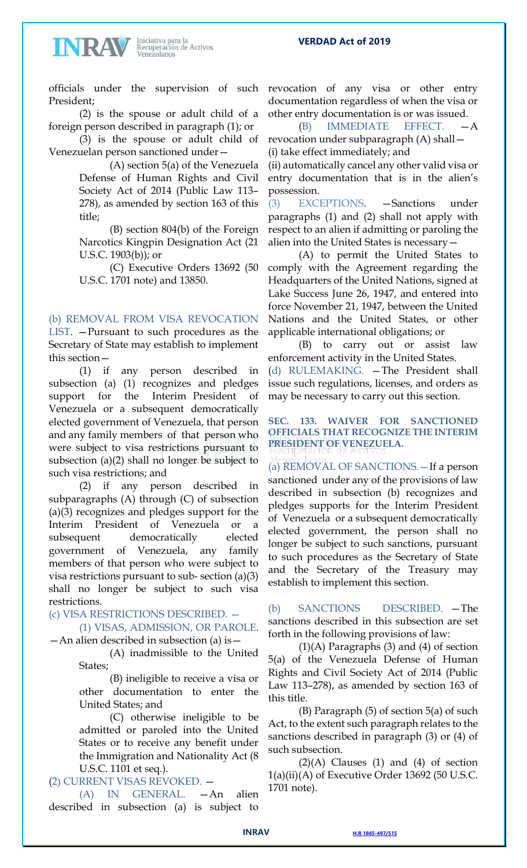### **VERDAD Act of 2019**



Iniciativa para la<br>Recuperación de Activos<br>Venezolanos

President;

(2) is the spouse or adult child of a foreign person described in paragraph (1); or

(3) is the spouse or adult child of Venezuelan person sanctioned under—

> (A) section 5(a) of the Venezuela Defense of Human Rights and Civil Society Act of 2014 (Public Law 113– 278), as amended by section 163 of this title;

> (B) section 804(b) of the Foreign Narcotics Kingpin Designation Act (21 U.S.C. 1903(b)); or

> (C) Executive Orders 13692 (50 U.S.C. 1701 note) and 13850.

(b) REMOVAL FROM VISA REVOCATION

LIST. —Pursuant to such procedures as the Secretary of State may establish to implement this section—

(1) if any person described in subsection (a) (1) recognizes and pledges support for the Interim President of Venezuela or a subsequent democratically elected government of Venezuela, that person and any family members of that person who were subject to visa restrictions pursuant to subsection (a)(2) shall no longer be subject to such visa restrictions; and

(2) if any person described in subparagraphs (A) through (C) of subsection (a)(3) recognizes and pledges support for the Interim President of Venezuela or a subsequent democratically elected government of Venezuela, any family members of that person who were subject to visa restrictions pursuant to sub- section (a)(3) shall no longer be subject to such visa restrictions.

## (c) VISA RESTRICTIONS DESCRIBED. —

(1) VISAS, ADMISSION, OR PAROLE. —An alien described in subsection (a) is—

> (A) inadmissible to the United States;

(B) ineligible to receive a visa or other documentation to enter the United States; and

(C) otherwise ineligible to be admitted or paroled into the United States or to receive any benefit under the Immigration and Nationality Act (8 U.S.C. 1101 et seq.).

## (2) CURRENT VISAS REVOKED. —

(A) IN GENERAL. —An alien described in subsection (a) is subject to

officials under the supervision of such revocation of any visa or other entry documentation regardless of when the visa or other entry documentation is or was issued.

> (B) IMMEDIATE EFFECT. —A revocation under subparagraph (A) shall— (i) take effect immediately; and

> (ii) automatically cancel any other valid visa or entry documentation that is in the alien's possession.

> (3) EXCEPTIONS. —Sanctions under paragraphs (1) and (2) shall not apply with respect to an alien if admitting or paroling the alien into the United States is necessary—

> (A) to permit the United States to comply with the Agreement regarding the Headquarters of the United Nations, signed at Lake Success June 26, 1947, and entered into force November 21, 1947, between the United Nations and the United States, or other applicable international obligations; or

> (B) to carry out or assist law enforcement activity in the United States. (d) RULEMAKING. —The President shall issue such regulations, licenses, and orders as may be necessary to carry out this section.

### **SEC. 133. WAIVER FOR SANCTIONED OFFICIALS THAT RECOGNIZE THE INTERIM PRESIDENT OF VENEZUELA.**

(a) REMOVAL OF SANCTIONS.—If a person sanctioned under any of the provisions of law described in subsection (b) recognizes and pledges supports for the Interim President of Venezuela or a subsequent democratically elected government, the person shall no longer be subject to such sanctions, pursuant to such procedures as the Secretary of State and the Secretary of the Treasury may establish to implement this section.

(b) SANCTIONS DESCRIBED. —The sanctions described in this subsection are set forth in the following provisions of law:

 $(1)(A)$  Paragraphs  $(3)$  and  $(4)$  of section 5(a) of the Venezuela Defense of Human Rights and Civil Society Act of 2014 (Public Law 113–278), as amended by section 163 of this title.

(B) Paragraph (5) of section 5(a) of such Act, to the extent such paragraph relates to the sanctions described in paragraph (3) or (4) of such subsection.

 $(2)(A)$  Clauses  $(1)$  and  $(4)$  of section  $1(a)(ii)(A)$  of Executive Order 13692 (50 U.S.C. 1701 note).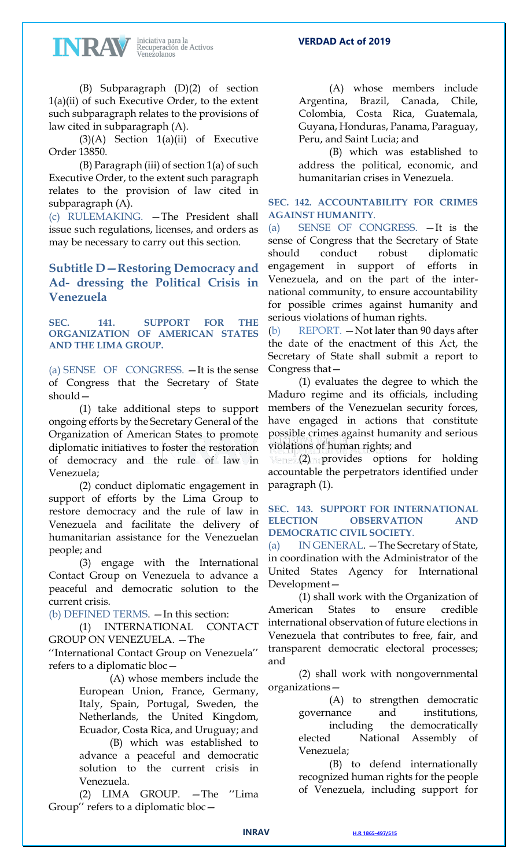INRAV

Iniciativa para la<br>Recuperación de Activos<br>Venezolanos

(B) Subparagraph (D)(2) of section 1(a)(ii) of such Executive Order, to the extent such subparagraph relates to the provisions of law cited in subparagraph (A).

 $(3)(A)$  Section  $1(a)(ii)$  of Executive Order 13850.

(B) Paragraph (iii) of section 1(a) of such Executive Order, to the extent such paragraph relates to the provision of law cited in subparagraph (A).

(c) RULEMAKING. —The President shall issue such regulations, licenses, and orders as may be necessary to carry out this section.

# **Subtitle D—Restoring Democracy and Ad- dressing the Political Crisis in Venezuela**

**SEC. 141. SUPPORT FOR THE ORGANIZATION OF AMERICAN STATES AND THE LIMA GROUP.**

(a) SENSE OF CONGRESS. —It is the sense of Congress that the Secretary of State should—

(1) take additional steps to support ongoing efforts by the Secretary General of the Organization of American States to promote diplomatic initiatives to foster the restoration of democracy and the rule of law in Venezuela;

(2) conduct diplomatic engagement in support of efforts by the Lima Group to restore democracy and the rule of law in Venezuela and facilitate the delivery of humanitarian assistance for the Venezuelan people; and

(3) engage with the International Contact Group on Venezuela to advance a peaceful and democratic solution to the current crisis.

(b) DEFINED TERMS. —In this section:

(1) INTERNATIONAL CONTACT GROUP ON VENEZUELA. —The

''International Contact Group on Venezuela'' refers to a diplomatic bloc—

> (A) whose members include the European Union, France, Germany, Italy, Spain, Portugal, Sweden, the Netherlands, the United Kingdom, Ecuador, Costa Rica, and Uruguay; and

> (B) which was established to advance a peaceful and democratic solution to the current crisis in Venezuela.

(2) LIMA GROUP. —The ''Lima Group'' refers to a diplomatic bloc—

(A) whose members include Argentina, Brazil, Canada, Chile, Colombia, Costa Rica, Guatemala, Guyana, Honduras, Panama, Paraguay, Peru, and Saint Lucia; and

(B) which was established to address the political, economic, and humanitarian crises in Venezuela.

## **SEC. 142. ACCOUNTABILITY FOR CRIMES AGAINST HUMANITY**.

(a) SENSE OF CONGRESS. —It is the sense of Congress that the Secretary of State should conduct robust diplomatic engagement in support of efforts in Venezuela, and on the part of the international community, to ensure accountability for possible crimes against humanity and serious violations of human rights.

(b) REPORT. —Not later than 90 days after the date of the enactment of this Act, the Secretary of State shall submit a report to Congress that—

(1) evaluates the degree to which the Maduro regime and its officials, including members of the Venezuelan security forces, have engaged in actions that constitute possible crimes against humanity and serious violations of human rights; and

(2) provides options for holding accountable the perpetrators identified under paragraph (1).

## **SEC. 143. SUPPORT FOR INTERNATIONAL ELECTION OBSERVATION AND DEMOCRATIC CIVIL SOCIETY**.

(a) IN GENERAL. —The Secretary of State, in coordination with the Administrator of the United States Agency for International Development—

(1) shall work with the Organization of American States to ensure credible international observation of future elections in Venezuela that contributes to free, fair, and transparent democratic electoral processes; and

(2) shall work with nongovernmental organizations—

(A) to strengthen democratic governance and institutions, including the democratically elected National Assembly of Venezuela;

(B) to defend internationally recognized human rights for the people of Venezuela, including support for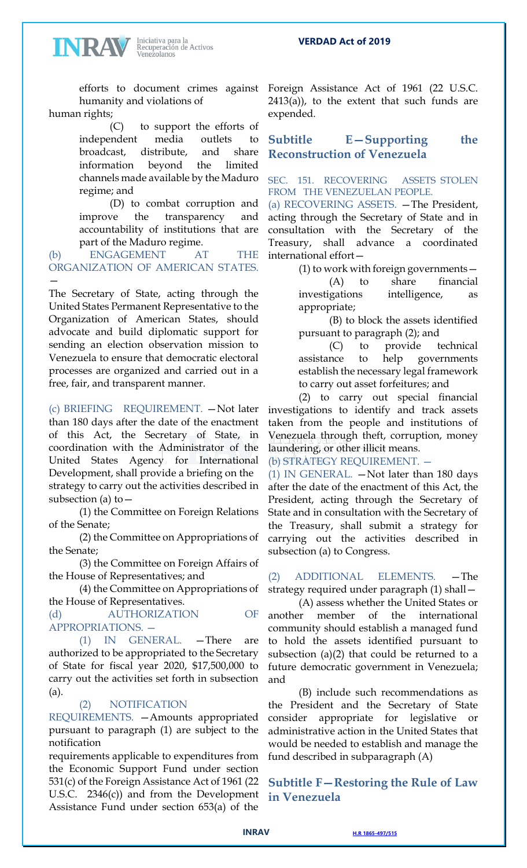**VERDAD Act of 2019**

humanity and violations of human rights;

INRAN

(C) to support the efforts of independent media outlets to broadcast, distribute, and share information beyond the limited channels made available by the Maduro regime; and

(D) to combat corruption and improve the transparency and accountability of institutions that are part of the Maduro regime.

(b) ENGAGEMENT AT THE ORGANIZATION OF AMERICAN STATES. —

The Secretary of State, acting through the United States Permanent Representative to the Organization of American States, should advocate and build diplomatic support for sending an election observation mission to Venezuela to ensure that democratic electoral processes are organized and carried out in a free, fair, and transparent manner.

(c) BRIEFING REQUIREMENT. —Not later than 180 days after the date of the enactment of this Act, the Secretary of State, in coordination with the Administrator of the United States Agency for International Development, shall provide a briefing on the strategy to carry out the activities described in subsection (a) to  $-$ 

(1) the Committee on Foreign Relations of the Senate;

(2) the Committee on Appropriations of the Senate;

(3) the Committee on Foreign Affairs of the House of Representatives; and

(4) the Committee on Appropriations of the House of Representatives.

(d) AUTHORIZATION OF APPROPRIATIONS. —

(1) IN GENERAL. —There are authorized to be appropriated to the Secretary of State for fiscal year 2020, \$17,500,000 to carry out the activities set forth in subsection (a).

(2) NOTIFICATION

REQUIREMENTS. —Amounts appropriated pursuant to paragraph (1) are subject to the notification

requirements applicable to expenditures from the Economic Support Fund under section 531(c) of the Foreign Assistance Act of 1961 (22 U.S.C. 2346(c)) and from the Development Assistance Fund under section 653(a) of the

efforts to document crimes against Foreign Assistance Act of 1961 (22 U.S.C.  $2413(a)$ , to the extent that such funds are expended.

# **Subtitle E—Supporting the Reconstruction of Venezuela**

## SEC. 151. RECOVERING ASSETS STOLEN FROM THE VENEZUELAN PEOPLE.

(a) RECOVERING ASSETS. —The President, acting through the Secretary of State and in consultation with the Secretary of the Treasury, shall advance a coordinated international effort—

> (1) to work with foreign governments— (A) to share financial investigations intelligence, as appropriate;

> (B) to block the assets identified pursuant to paragraph (2); and

> (C) to provide technical assistance to help governments establish the necessary legal framework to carry out asset forfeitures; and

(2) to carry out special financial investigations to identify and track assets taken from the people and institutions of Venezuela through theft, corruption, money laundering, or other illicit means.

(b) STRATEGY REQUIREMENT. —

(1) IN GENERAL. —Not later than 180 days after the date of the enactment of this Act, the President, acting through the Secretary of State and in consultation with the Secretary of the Treasury, shall submit a strategy for carrying out the activities described in subsection (a) to Congress.

(2) ADDITIONAL ELEMENTS. —The strategy required under paragraph (1) shall—

(A) assess whether the United States or another member of the international community should establish a managed fund to hold the assets identified pursuant to subsection (a)(2) that could be returned to a future democratic government in Venezuela; and

(B) include such recommendations as the President and the Secretary of State consider appropriate for legislative or administrative action in the United States that would be needed to establish and manage the fund described in subparagraph (A)

# **Subtitle F—Restoring the Rule of Law in Venezuela**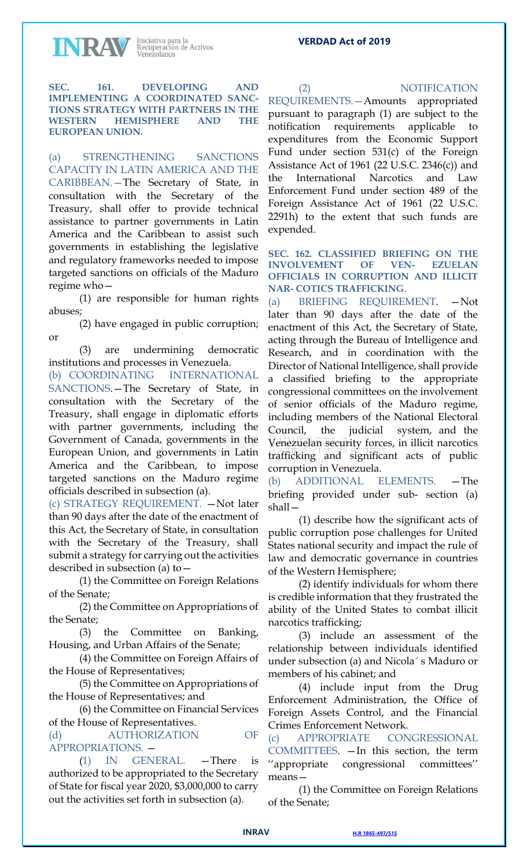INRAV

Iniciativa para la<br>Recuperación de Activos<br>Venezolanos

**SEC. 161. DEVELOPING AND IMPLEMENTING A COORDINATED SANC-TIONS STRATEGY WITH PARTNERS IN THE WESTERN HEMISPHERE AND THE EUROPEAN UNION.**

(a) STRENGTHENING SANCTIONS CAPACITY IN LATIN AMERICA AND THE CARIBBEAN.—The Secretary of State, in consultation with the Secretary of the Treasury, shall offer to provide technical assistance to partner governments in Latin America and the Caribbean to assist such governments in establishing the legislative and regulatory frameworks needed to impose targeted sanctions on officials of the Maduro regime who—

(1) are responsible for human rights abuses;

(2) have engaged in public corruption; or

(3) are undermining democratic institutions and processes in Venezuela.

(b) COORDINATING INTERNATIONAL SANCTIONS.—The Secretary of State, in consultation with the Secretary of the Treasury, shall engage in diplomatic efforts with partner governments, including the Government of Canada, governments in the European Union, and governments in Latin America and the Caribbean, to impose targeted sanctions on the Maduro regime officials described in subsection (a).

(c) STRATEGY REQUIREMENT. —Not later than 90 days after the date of the enactment of this Act, the Secretary of State, in consultation with the Secretary of the Treasury, shall submit a strategy for carrying out the activities described in subsection (a) to—

(1) the Committee on Foreign Relations of the Senate;

(2) the Committee on Appropriations of the Senate;

(3) the Committee on Banking, Housing, and Urban Affairs of the Senate;

(4) the Committee on Foreign Affairs of the House of Representatives;

(5) the Committee on Appropriations of the House of Representatives; and

(6) the Committee on Financial Services of the House of Representatives.

(d) AUTHORIZATION OF APPROPRIATIONS. —

(1) IN GENERAL. —There is authorized to be appropriated to the Secretary of State for fiscal year 2020, \$3,000,000 to carry out the activities set forth in subsection (a).

**VERDAD Act of 2019**

(2) NOTIFICATION

REQUIREMENTS.—Amounts appropriated pursuant to paragraph (1) are subject to the notification requirements applicable expenditures from the Economic Support Fund under section 531(c) of the Foreign Assistance Act of 1961 (22 U.S.C. 2346(c)) and the International Narcotics and Law Enforcement Fund under section 489 of the Foreign Assistance Act of 1961 (22 U.S.C. 2291h) to the extent that such funds are expended.

**SEC. 162. CLASSIFIED BRIEFING ON THE INVOLVEMENT OF VEN- EZUELAN OFFICIALS IN CORRUPTION AND ILLICIT NAR- COTICS TRAFFICKING**.

(a) BRIEFING REQUIREMENT. —Not later than 90 days after the date of the enactment of this Act, the Secretary of State, acting through the Bureau of Intelligence and Research, and in coordination with the Director of National Intelligence, shall provide a classified briefing to the appropriate congressional committees on the involvement of senior officials of the Maduro regime, including members of the National Electoral Council, the judicial system, and the Venezuelan security forces, in illicit narcotics trafficking and significant acts of public corruption in Venezuela.

(b) ADDITIONAL ELEMENTS. —The briefing provided under sub- section (a) shall—

(1) describe how the significant acts of public corruption pose challenges for United States national security and impact the rule of law and democratic governance in countries of the Western Hemisphere;

(2) identify individuals for whom there is credible information that they frustrated the ability of the United States to combat illicit narcotics trafficking;

(3) include an assessment of the relationship between individuals identified under subsection (a) and Nicola´ s Maduro or members of his cabinet; and

(4) include input from the Drug Enforcement Administration, the Office of Foreign Assets Control, and the Financial Crimes Enforcement Network.

(c) APPROPRIATE CONGRESSIONAL COMMITTEES. —In this section, the term ''appropriate congressional committees'' means—

(1) the Committee on Foreign Relations of the Senate;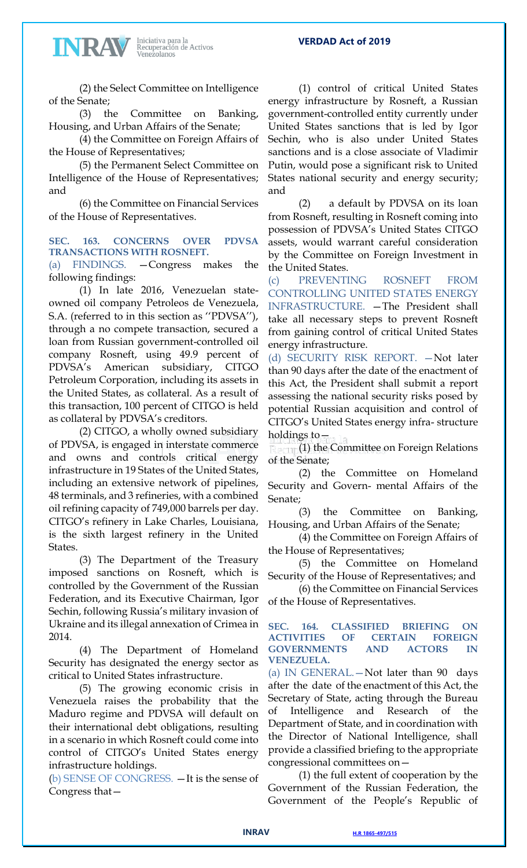

(2) the Select Committee on Intelligence of the Senate;

(3) the Committee on Banking, Housing, and Urban Affairs of the Senate;

(4) the Committee on Foreign Affairs of the House of Representatives;

(5) the Permanent Select Committee on Intelligence of the House of Representatives; and

(6) the Committee on Financial Services of the House of Representatives.

### **SEC. 163. CONCERNS OVER PDVSA TRANSACTIONS WITH ROSNEFT.**

(a) FINDINGS. —Congress makes the following findings:

(1) In late 2016, Venezuelan stateowned oil company Petroleos de Venezuela, S.A. (referred to in this section as ''PDVSA''), through a no compete transaction, secured a loan from Russian government-controlled oil company Rosneft, using 49.9 percent of PDVSA's American subsidiary, CITGO Petroleum Corporation, including its assets in the United States, as collateral. As a result of this transaction, 100 percent of CITGO is held as collateral by PDVSA's creditors.

(2) CITGO, a wholly owned subsidiary of PDVSA, is engaged in interstate commerce and owns and controls critical energy infrastructure in 19 States of the United States, including an extensive network of pipelines, 48 terminals, and 3 refineries, with a combined oil refining capacity of 749,000 barrels per day. CITGO's refinery in Lake Charles, Louisiana, is the sixth largest refinery in the United States.

(3) The Department of the Treasury imposed sanctions on Rosneft, which is controlled by the Government of the Russian Federation, and its Executive Chairman, Igor Sechin, following Russia's military invasion of Ukraine and its illegal annexation of Crimea in 2014.

(4) The Department of Homeland Security has designated the energy sector as critical to United States infrastructure.

(5) The growing economic crisis in Venezuela raises the probability that the Maduro regime and PDVSA will default on their international debt obligations, resulting in a scenario in which Rosneft could come into control of CITGO's United States energy infrastructure holdings.

(b) SENSE OF CONGRESS. —It is the sense of Congress that—

(1) control of critical United States energy infrastructure by Rosneft, a Russian government-controlled entity currently under United States sanctions that is led by Igor Sechin, who is also under United States sanctions and is a close associate of Vladimir Putin, would pose a significant risk to United States national security and energy security; and

(2) a default by PDVSA on its loan from Rosneft, resulting in Rosneft coming into possession of PDVSA's United States CITGO assets, would warrant careful consideration by the Committee on Foreign Investment in the United States.

(c) PREVENTING ROSNEFT FROM CONTROLLING UNITED STATES ENERGY INFRASTRUCTURE. —The President shall take all necessary steps to prevent Rosneft from gaining control of critical United States energy infrastructure.

(d) SECURITY RISK REPORT. —Not later than 90 days after the date of the enactment of this Act, the President shall submit a report assessing the national security risks posed by potential Russian acquisition and control of CITGO's United States energy infra- structure holdings to—

(1) the Committee on Foreign Relations of the Senate;

(2) the Committee on Homeland Security and Govern- mental Affairs of the Senate;

(3) the Committee on Banking, Housing, and Urban Affairs of the Senate;

(4) the Committee on Foreign Affairs of the House of Representatives;

(5) the Committee on Homeland Security of the House of Representatives; and

(6) the Committee on Financial Services of the House of Representatives.

### **SEC. 164. CLASSIFIED BRIEFING ON ACTIVITIES OF CERTAIN FOREIGN GOVERNMENTS AND ACTORS IN VENEZUELA.**

(a) IN GENERAL.—Not later than 90 days after the date of the enactment of this Act, the Secretary of State, acting through the Bureau of Intelligence and Research of the Department of State, and in coordination with the Director of National Intelligence, shall provide a classified briefing to the appropriate congressional committees on—

(1) the full extent of cooperation by the Government of the Russian Federation, the Government of the People's Republic of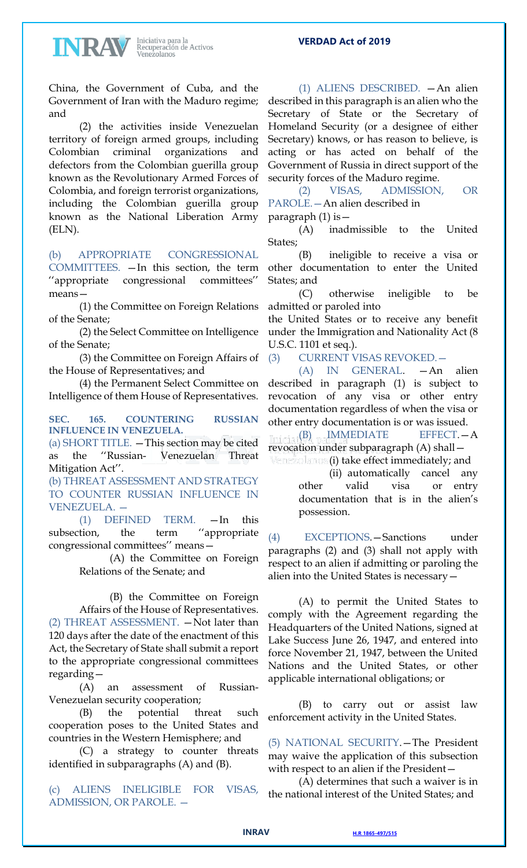

China, the Government of Cuba, and the Government of Iran with the Maduro regime; and

(2) the activities inside Venezuelan territory of foreign armed groups, including Colombian criminal organizations and defectors from the Colombian guerilla group known as the Revolutionary Armed Forces of Colombia, and foreign terrorist organizations, including the Colombian guerilla group known as the National Liberation Army (ELN).

## (b) APPROPRIATE CONGRESSIONAL

COMMITTEES. —In this section, the term ''appropriate congressional committees'' means—

(1) the Committee on Foreign Relations of the Senate;

(2) the Select Committee on Intelligence of the Senate;

(3) the Committee on Foreign Affairs of the House of Representatives; and

(4) the Permanent Select Committee on Intelligence of them House of Representatives.

**SEC. 165. COUNTERING RUSSIAN INFLUENCE IN VENEZUELA.**

(a) SHORT TITLE. —This section may be cited as the ''Russian- Venezuelan Threat Mitigation Act''.

(b) THREAT ASSESSMENT AND STRATEGY TO COUNTER RUSSIAN INFLUENCE IN VENEZUELA. —

(1) DEFINED TERM. —In this subsection, the term ''appropriate congressional committees'' means—

> (A) the Committee on Foreign Relations of the Senate; and

(B) the Committee on Foreign Affairs of the House of Representatives. (2) THREAT ASSESSMENT. —Not later than 120 days after the date of the enactment of this Act, the Secretary of State shall submit a report to the appropriate congressional committees regarding—

(A) an assessment of Russian-Venezuelan security cooperation;

(B) the potential threat such cooperation poses to the United States and countries in the Western Hemisphere; and

(C) a strategy to counter threats identified in subparagraphs (A) and (B).

(c) ALIENS INELIGIBLE FOR VISAS, ADMISSION, OR PAROLE. —

(1) ALIENS DESCRIBED. —An alien described in this paragraph is an alien who the Secretary of State or the Secretary of Homeland Security (or a designee of either Secretary) knows, or has reason to believe, is acting or has acted on behalf of the Government of Russia in direct support of the security forces of the Maduro regime.

(2) VISAS, ADMISSION, OR PAROLE.—An alien described in

paragraph (1) is—

(A) inadmissible to the United States;

(B) ineligible to receive a visa or other documentation to enter the United States; and

(C) otherwise ineligible to be admitted or paroled into

the United States or to receive any benefit under the Immigration and Nationality Act (8 U.S.C. 1101 et seq.).

(3) CURRENT VISAS REVOKED.—

(A) IN GENERAL. —An alien described in paragraph (1) is subject to revocation of any visa or other entry documentation regardless of when the visa or other entry documentation is or was issued.

(B) IMMEDIATE EFFECT.—A revocation under subparagraph (A) shall—

(i) take effect immediately; and

(ii) automatically cancel any other valid visa or entry documentation that is in the alien's possession.

(4) EXCEPTIONS.—Sanctions under paragraphs (2) and (3) shall not apply with respect to an alien if admitting or paroling the alien into the United States is necessary—

(A) to permit the United States to comply with the Agreement regarding the Headquarters of the United Nations, signed at Lake Success June 26, 1947, and entered into force November 21, 1947, between the United Nations and the United States, or other applicable international obligations; or

(B) to carry out or assist law enforcement activity in the United States.

(5) NATIONAL SECURITY.—The President may waive the application of this subsection with respect to an alien if the President—

(A) determines that such a waiver is in the national interest of the United States; and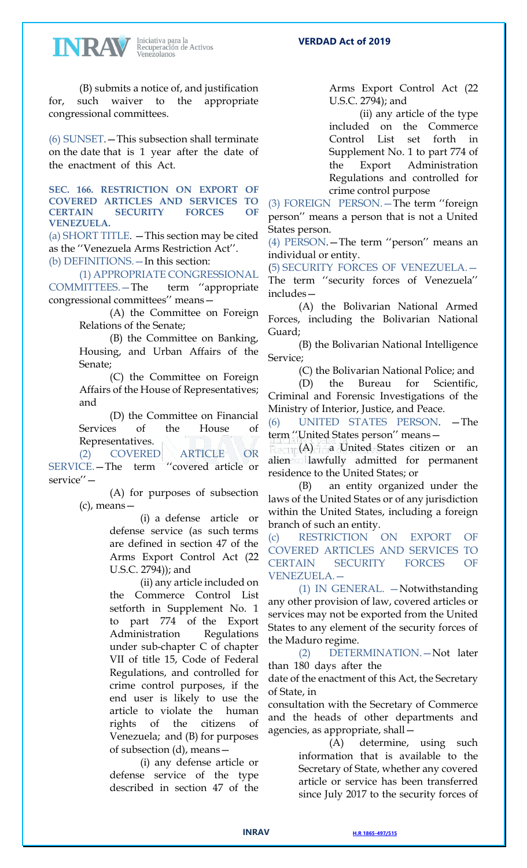

(B) submits a notice of, and justification for, such waiver to the appropriate congressional committees.

(6) SUNSET.—This subsection shall terminate on the date that is 1 year after the date of the enactment of this Act.

**SEC. 166. RESTRICTION ON EXPORT OF COVERED ARTICLES AND SERVICES TO CERTAIN SECURITY FORCES OF VENEZUELA.**

(a) SHORT TITLE. —This section may be cited as the ''Venezuela Arms Restriction Act''.

(b) DEFINITIONS.—In this section:

(1) APPROPRIATE CONGRESSIONAL COMMITTEES.—The term ''appropriate congressional committees'' means—

> (A) the Committee on Foreign Relations of the Senate;

(B) the Committee on Banking, Housing, and Urban Affairs of the Senate;

(C) the Committee on Foreign Affairs of the House of Representatives; and

(D) the Committee on Financial Services of the House of Representatives.

(2) COVERED ARTICLE OR SERVICE.—The term ''covered article or service''—

(A) for purposes of subsection (c), means—

> (i) a defense article or defense service (as such terms are defined in section 47 of the Arms Export Control Act (22 U.S.C. 2794)); and

(ii) any article included on the Commerce Control List setforth in Supplement No. 1 part 774 of the Export Administration Regulations under sub-chapter C of chapter VII of title 15, Code of Federal Regulations, and controlled for crime control purposes, if the end user is likely to use the article to violate the human rights of the citizens of Venezuela; and (B) for purposes of subsection (d), means—

(i) any defense article or defense service of the type described in section 47 of the

Arms Export Control Act (22 U.S.C. 2794); and

(ii) any article of the type included on the Commerce Control List set forth in Supplement No. 1 to part 774 of the Export Administration Regulations and controlled for crime control purpose

(3) FOREIGN PERSON.—The term ''foreign person'' means a person that is not a United States person.

(4) PERSON.—The term ''person'' means an individual or entity.

(5) SECURITY FORCES OF VENEZUELA.— The term ''security forces of Venezuela'' includes—

(A) the Bolivarian National Armed Forces, including the Bolivarian National Guard;

(B) the Bolivarian National Intelligence Service;

(C) the Bolivarian National Police; and

(D) the Bureau for Scientific, Criminal and Forensic Investigations of the Ministry of Interior, Justice, and Peace.

(6) UNITED STATES PERSON. —The term ''United States person'' means—

(A) a United States citizen or an alien allawfully admitted for permanent residence to the United States; or

(B) an entity organized under the laws of the United States or of any jurisdiction within the United States, including a foreign branch of such an entity.

(c) RESTRICTION ON EXPORT OF COVERED ARTICLES AND SERVICES TO CERTAIN SECURITY FORCES OF VENEZUELA.—

(1) IN GENERAL. —Notwithstanding any other provision of law, covered articles or services may not be exported from the United States to any element of the security forces of the Maduro regime.

(2) DETERMINATION.—Not later than 180 days after the

date of the enactment of this Act, the Secretary of State, in

consultation with the Secretary of Commerce and the heads of other departments and agencies, as appropriate, shall—

> (A) determine, using such information that is available to the Secretary of State, whether any covered article or service has been transferred since July 2017 to the security forces of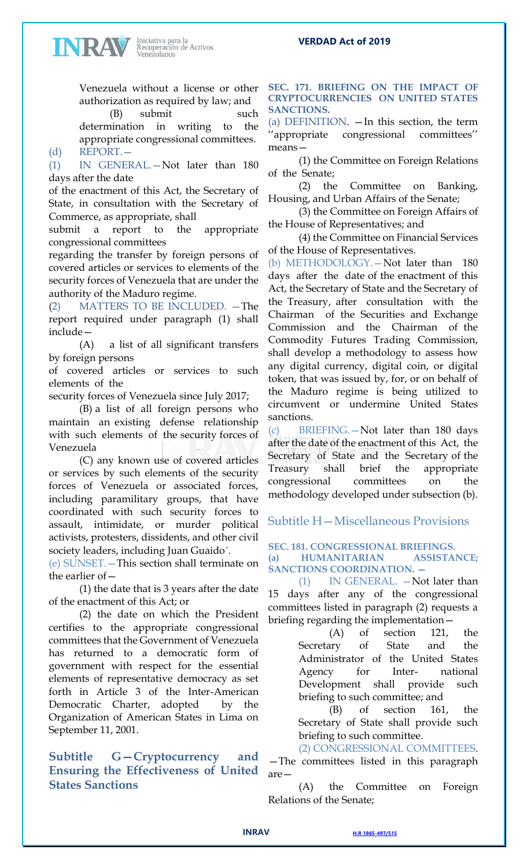Venezuela without a license or other authorization as required by law; and

Iniciativa para la<br>Recuperación de Activos<br>Venezolanos

INRAV

(B) submit such determination in writing to the appropriate congressional committees. (d) REPORT.—

(1) IN GENERAL.—Not later than 180 days after the date

of the enactment of this Act, the Secretary of State, in consultation with the Secretary of Commerce, as appropriate, shall

submit a report to the appropriate congressional committees

regarding the transfer by foreign persons of covered articles or services to elements of the security forces of Venezuela that are under the authority of the Maduro regime.

(2) MATTERS TO BE INCLUDED. —The report required under paragraph (1) shall include—

(A) a list of all significant transfers by foreign persons

of covered articles or services to such elements of the

security forces of Venezuela since July 2017;

(B) a list of all foreign persons who maintain an existing defense relationship with such elements of the security forces of Venezuela

(C) any known use of covered articles or services by such elements of the security forces of Venezuela or associated forces, including paramilitary groups, that have coordinated with such security forces to assault, intimidate, or murder political activists, protesters, dissidents, and other civil society leaders, including Juan Guaido´.

(e) SUNSET.—This section shall terminate on the earlier of—

(1) the date that is 3 years after the date of the enactment of this Act; or

(2) the date on which the President certifies to the appropriate congressional committees that the Government of Venezuela has returned to a democratic form of government with respect for the essential elements of representative democracy as set forth in Article 3 of the Inter-American Democratic Charter, adopted by the Organization of American States in Lima on September 11, 2001.

**Subtitle G—Cryptocurrency and Ensuring the Effectiveness of United States Sanctions**

### **SEC. 171. BRIEFING ON THE IMPACT OF CRYPTOCURRENCIES ON UNITED STATES SANCTIONS.**

**VERDAD Act of 2019**

(a) DEFINITION.  $\overline{-}$  In this section, the term 'appropriate congressional committees" means—

(1) the Committee on Foreign Relations of the Senate;

(2) the Committee on Banking, Housing, and Urban Affairs of the Senate;

(3) the Committee on Foreign Affairs of the House of Representatives; and

(4) the Committee on Financial Services of the House of Representatives.

(b) METHODOLOGY.—Not later than 180 days after the date of the enactment of this Act, the Secretary of State and the Secretary of the Treasury, after consultation with the Chairman of the Securities and Exchange Commission and the Chairman of the Commodity Futures Trading Commission, shall develop a methodology to assess how any digital currency, digital coin, or digital token, that was issued by, for, or on behalf of the Maduro regime is being utilized to circumvent or undermine United States sanctions.

(c) BRIEFING.—Not later than 180 days after the date of the enactment of this Act, the Secretary of State and the Secretary of the Treasury shall brief the appropriate congressional committees on the methodology developed under subsection (b).

Subtitle H—Miscellaneous Provisions

**SEC. 181. CONGRESSIONAL BRIEFINGS. (a) HUMANITARIAN ASSISTANCE; SANCTIONS COORDINATION. —**

(1) IN GENERAL. —Not later than 15 days after any of the congressional committees listed in paragraph (2) requests a briefing regarding the implementation—

> (A) of section 121, the Secretary of State and the Administrator of the United States Agency for Inter- national Development shall provide such briefing to such committee; and

(B) of section 161, the Secretary of State shall provide such briefing to such committee.

(2) CONGRESSIONAL COMMITTEES. —The committees listed in this paragraph are—

(A) the Committee on Foreign Relations of the Senate;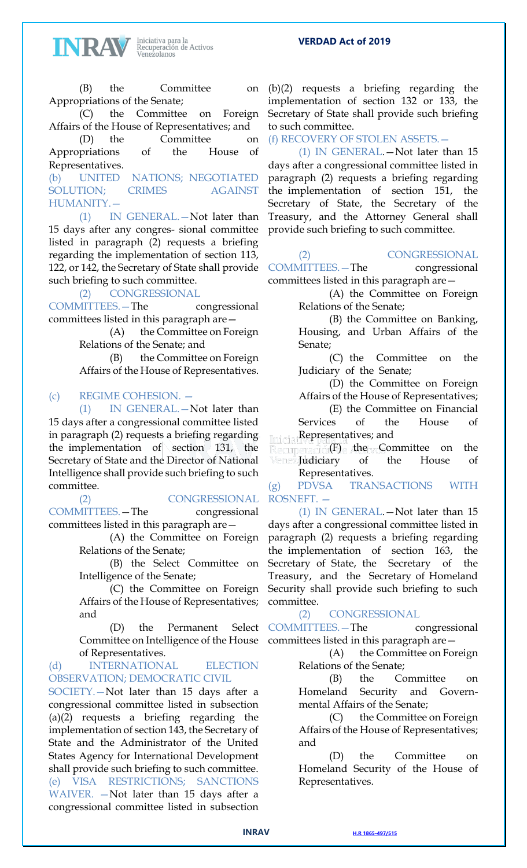

(B) the Committee on Appropriations of the Senate;

(C) the Committee on Foreign Affairs of the House of Representatives; and

(D) the Committee on Appropriations of the House of Representatives.

(b) UNITED NATIONS; NEGOTIATED SOLUTION; CRIMES AGAINST HUMANITY.—

(1) IN GENERAL.—Not later than 15 days after any congres- sional committee listed in paragraph (2) requests a briefing regarding the implementation of section 113, 122, or 142, the Secretary of State shall provide such briefing to such committee.

(2) CONGRESSIONAL

COMMITTEES.—The congressional committees listed in this paragraph are—

> (A) the Committee on Foreign Relations of the Senate; and

(B) the Committee on Foreign Affairs of the House of Representatives.

## (c) REGIME COHESION. —

(1) IN GENERAL.—Not later than 15 days after a congressional committee listed in paragraph (2) requests a briefing regarding the implementation of section 131, the Secretary of State and the Director of National Intelligence shall provide such briefing to such committee.

(2) CONGRESSIONAL COMMITTEES.—The congressional committees listed in this paragraph are—

> (A) the Committee on Foreign Relations of the Senate;

> (B) the Select Committee on Intelligence of the Senate;

> (C) the Committee on Foreign Affairs of the House of Representatives; and

(D) the Permanent Select Committee on Intelligence of the House of Representatives.

(d) INTERNATIONAL ELECTION OBSERVATION; DEMOCRATIC CIVIL

SOCIETY.—Not later than 15 days after a congressional committee listed in subsection (a)(2) requests a briefing regarding the implementation of section 143, the Secretary of State and the Administrator of the United States Agency for International Development shall provide such briefing to such committee. (e) VISA RESTRICTIONS; SANCTIONS WAIVER. —Not later than 15 days after a congressional committee listed in subsection

(b)(2) requests a briefing regarding the implementation of section 132 or 133, the Secretary of State shall provide such briefing to such committee.

(f) RECOVERY OF STOLEN ASSETS.—

(1) IN GENERAL.—Not later than 15 days after a congressional committee listed in paragraph (2) requests a briefing regarding the implementation of section 151, the Secretary of State, the Secretary of the Treasury, and the Attorney General shall provide such briefing to such committee.

## (2) CONGRESSIONAL

COMMITTEES.—The congressional committees listed in this paragraph are—

> (A) the Committee on Foreign Relations of the Senate;

(B) the Committee on Banking, Housing, and Urban Affairs of the Senate;

(C) the Committee on the Judiciary of the Senate;

(D) the Committee on Foreign Affairs of the House of Representatives;

(E) the Committee on Financial Services of the House of Representatives; and

(F) the Committee on the Judiciary of the House of Representatives.

(g) PDVSA TRANSACTIONS WITH ROSNEFT. —

(1) IN GENERAL.—Not later than 15 days after a congressional committee listed in paragraph (2) requests a briefing regarding the implementation of section 163, the Secretary of State, the Secretary of the Treasury, and the Secretary of Homeland Security shall provide such briefing to such committee.

## (2) CONGRESSIONAL

COMMITTEES.—The congressional committees listed in this paragraph are—

> (A) the Committee on Foreign Relations of the Senate;

> (B) the Committee on Homeland Security and Governmental Affairs of the Senate;

> (C) the Committee on Foreign Affairs of the House of Representatives; and

> (D) the Committee on Homeland Security of the House of Representatives.